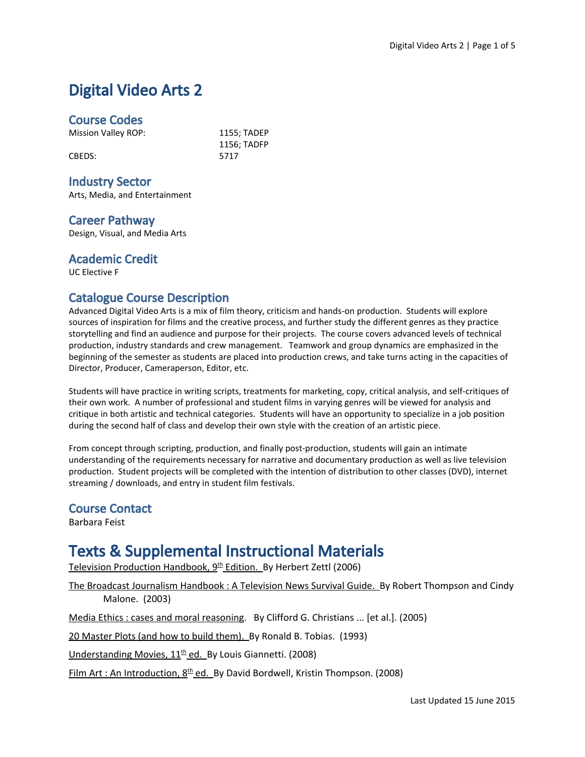# Digital Video Arts 2

### Course Codes

Mission Valley ROP: 1155; TADEP

CBEDS: 5717

1156; TADFP

### Industry Sector

Arts, Media, and Entertainment

### Career Pathway

Design, Visual, and Media Arts

#### Academic Credit

UC Elective F

### Catalogue Course Description

Advanced Digital Video Arts is a mix of film theory, criticism and hands-on production. Students will explore sources of inspiration for films and the creative process, and further study the different genres as they practice storytelling and find an audience and purpose for their projects. The course covers advanced levels of technical production, industry standards and crew management. Teamwork and group dynamics are emphasized in the beginning of the semester as students are placed into production crews, and take turns acting in the capacities of Director, Producer, Cameraperson, Editor, etc.

Students will have practice in writing scripts, treatments for marketing, copy, critical analysis, and self-critiques of their own work. A number of professional and student films in varying genres will be viewed for analysis and critique in both artistic and technical categories. Students will have an opportunity to specialize in a job position during the second half of class and develop their own style with the creation of an artistic piece.

From concept through scripting, production, and finally post-production, students will gain an intimate understanding of the requirements necessary for narrative and documentary production as well as live television production. Student projects will be completed with the intention of distribution to other classes (DVD), internet streaming / downloads, and entry in student film festivals.

#### Course Contact

Barbara Feist

# Texts & Supplemental Instructional Materials

Television Production Handbook, 9<sup>th</sup> Edition. By Herbert Zettl (2006)

The Broadcast Journalism Handbook : A Television News Survival Guide. By Robert Thompson and Cindy Malone. (2003)

Media Ethics : cases and moral reasoning. By Clifford G. Christians ... [et al.]. (2005)

20 Master Plots (and how to build them). By Ronald B. Tobias. (1993)

Understanding Movies, 11<sup>th</sup> ed. By Louis Giannetti. (2008)

Film Art : An Introduction, 8<sup>th</sup> ed. By David Bordwell, Kristin Thompson. (2008)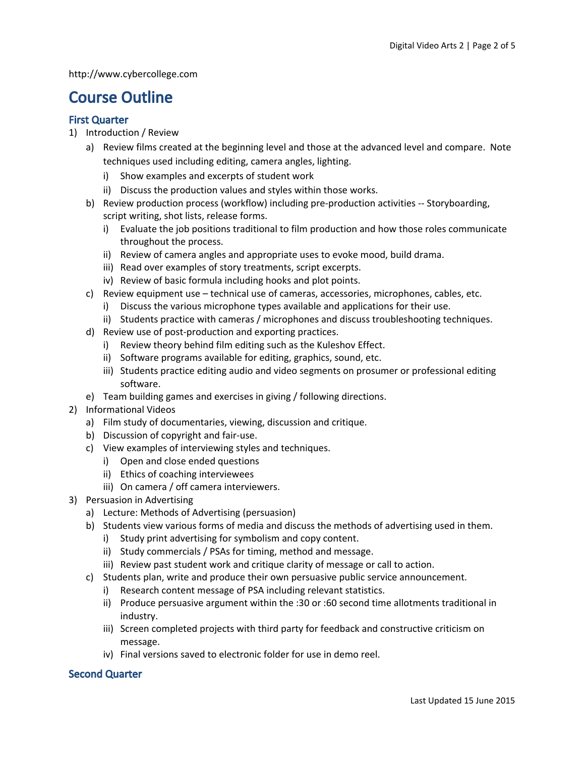http://www.cybercollege.com

## Course Outline

#### First Quarter

- 1) Introduction / Review
	- a) Review films created at the beginning level and those at the advanced level and compare. Note techniques used including editing, camera angles, lighting.
		- i) Show examples and excerpts of student work
		- ii) Discuss the production values and styles within those works.
	- b) Review production process (workflow) including pre-production activities -- Storyboarding, script writing, shot lists, release forms.
		- i) Evaluate the job positions traditional to film production and how those roles communicate throughout the process.
		- ii) Review of camera angles and appropriate uses to evoke mood, build drama.
		- iii) Read over examples of story treatments, script excerpts.
		- iv) Review of basic formula including hooks and plot points.
	- c) Review equipment use technical use of cameras, accessories, microphones, cables, etc.
		- i) Discuss the various microphone types available and applications for their use.
		- ii) Students practice with cameras / microphones and discuss troubleshooting techniques.
	- d) Review use of post-production and exporting practices.
		- i) Review theory behind film editing such as the Kuleshov Effect.
		- ii) Software programs available for editing, graphics, sound, etc.
		- iii) Students practice editing audio and video segments on prosumer or professional editing software.
	- e) Team building games and exercises in giving / following directions.
- 2) Informational Videos
	- a) Film study of documentaries, viewing, discussion and critique.
	- b) Discussion of copyright and fair-use.
	- c) View examples of interviewing styles and techniques.
		- i) Open and close ended questions
		- ii) Ethics of coaching interviewees
		- iii) On camera / off camera interviewers.
- 3) Persuasion in Advertising
	- a) Lecture: Methods of Advertising (persuasion)
	- b) Students view various forms of media and discuss the methods of advertising used in them.
		- i) Study print advertising for symbolism and copy content.
		- ii) Study commercials / PSAs for timing, method and message.
		- iii) Review past student work and critique clarity of message or call to action.
	- c) Students plan, write and produce their own persuasive public service announcement.
		- i) Research content message of PSA including relevant statistics.
		- ii) Produce persuasive argument within the :30 or :60 second time allotments traditional in industry.
		- iii) Screen completed projects with third party for feedback and constructive criticism on message.
		- iv) Final versions saved to electronic folder for use in demo reel.

#### Second Quarter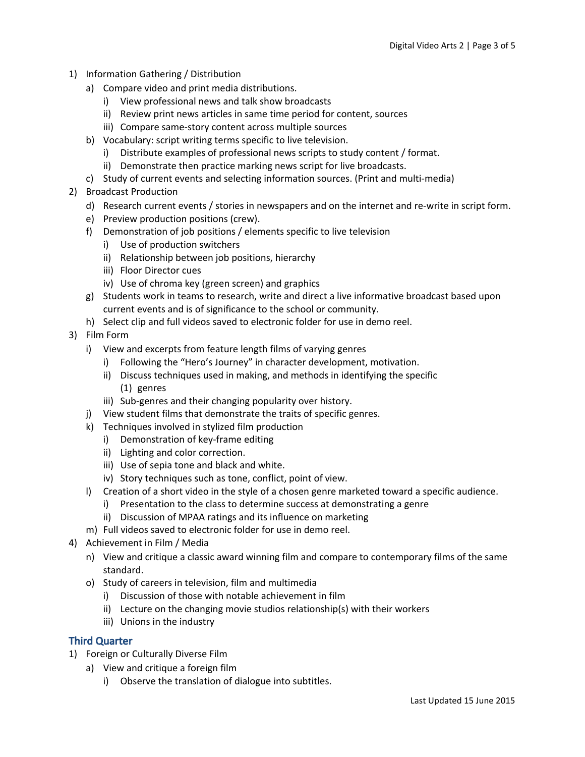- 1) Information Gathering / Distribution
	- a) Compare video and print media distributions.
		- i) View professional news and talk show broadcasts
		- ii) Review print news articles in same time period for content, sources
		- iii) Compare same-story content across multiple sources
	- b) Vocabulary: script writing terms specific to live television.
		- i) Distribute examples of professional news scripts to study content / format.
		- ii) Demonstrate then practice marking news script for live broadcasts.
	- c) Study of current events and selecting information sources. (Print and multi-media)
- 2) Broadcast Production
	- d) Research current events / stories in newspapers and on the internet and re-write in script form.
	- e) Preview production positions (crew).
	- f) Demonstration of job positions / elements specific to live television
		- i) Use of production switchers
		- ii) Relationship between job positions, hierarchy
		- iii) Floor Director cues
		- iv) Use of chroma key (green screen) and graphics
	- g) Students work in teams to research, write and direct a live informative broadcast based upon current events and is of significance to the school or community.
	- h) Select clip and full videos saved to electronic folder for use in demo reel.
- 3) Film Form
	- i) View and excerpts from feature length films of varying genres
		- i) Following the "Hero's Journey" in character development, motivation.
		- ii) Discuss techniques used in making, and methods in identifying the specific (1) genres
		- iii) Sub-genres and their changing popularity over history.
	- j) View student films that demonstrate the traits of specific genres.
	- k) Techniques involved in stylized film production
		- i) Demonstration of key-frame editing
		- ii) Lighting and color correction.
		- iii) Use of sepia tone and black and white.
		- iv) Story techniques such as tone, conflict, point of view.
	- l) Creation of a short video in the style of a chosen genre marketed toward a specific audience.
		- i) Presentation to the class to determine success at demonstrating a genre
		- ii) Discussion of MPAA ratings and its influence on marketing
	- m) Full videos saved to electronic folder for use in demo reel.
- 4) Achievement in Film / Media
	- n) View and critique a classic award winning film and compare to contemporary films of the same standard.
	- o) Study of careers in television, film and multimedia
		- i) Discussion of those with notable achievement in film
		- ii) Lecture on the changing movie studios relationship(s) with their workers
		- iii) Unions in the industry

#### Third Quarter

- 1) Foreign or Culturally Diverse Film
	- a) View and critique a foreign film
		- i) Observe the translation of dialogue into subtitles.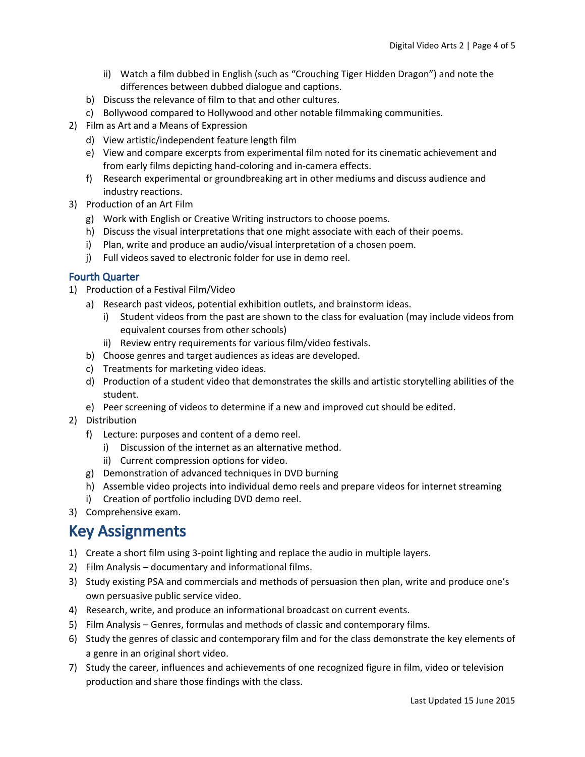- ii) Watch a film dubbed in English (such as "Crouching Tiger Hidden Dragon") and note the differences between dubbed dialogue and captions.
- b) Discuss the relevance of film to that and other cultures.
- c) Bollywood compared to Hollywood and other notable filmmaking communities.
- 2) Film as Art and a Means of Expression
	- d) View artistic/independent feature length film
	- e) View and compare excerpts from experimental film noted for its cinematic achievement and from early films depicting hand-coloring and in-camera effects.
	- f) Research experimental or groundbreaking art in other mediums and discuss audience and industry reactions.
- 3) Production of an Art Film
	- g) Work with English or Creative Writing instructors to choose poems.
	- h) Discuss the visual interpretations that one might associate with each of their poems.
	- i) Plan, write and produce an audio/visual interpretation of a chosen poem.
	- j) Full videos saved to electronic folder for use in demo reel.

#### Fourth Quarter

- 1) Production of a Festival Film/Video
	- a) Research past videos, potential exhibition outlets, and brainstorm ideas.
		- i) Student videos from the past are shown to the class for evaluation (may include videos from equivalent courses from other schools)
		- ii) Review entry requirements for various film/video festivals.
	- b) Choose genres and target audiences as ideas are developed.
	- c) Treatments for marketing video ideas.
	- d) Production of a student video that demonstrates the skills and artistic storytelling abilities of the student.
	- e) Peer screening of videos to determine if a new and improved cut should be edited.
- 2) Distribution
	- f) Lecture: purposes and content of a demo reel.
		- i) Discussion of the internet as an alternative method.
		- ii) Current compression options for video.
	- g) Demonstration of advanced techniques in DVD burning
	- h) Assemble video projects into individual demo reels and prepare videos for internet streaming
	- i) Creation of portfolio including DVD demo reel.
- 3) Comprehensive exam.

## Key Assignments

- 1) Create a short film using 3-point lighting and replace the audio in multiple layers.
- 2) Film Analysis documentary and informational films.
- 3) Study existing PSA and commercials and methods of persuasion then plan, write and produce one's own persuasive public service video.
- 4) Research, write, and produce an informational broadcast on current events.
- 5) Film Analysis Genres, formulas and methods of classic and contemporary films.
- 6) Study the genres of classic and contemporary film and for the class demonstrate the key elements of a genre in an original short video.
- 7) Study the career, influences and achievements of one recognized figure in film, video or television production and share those findings with the class.